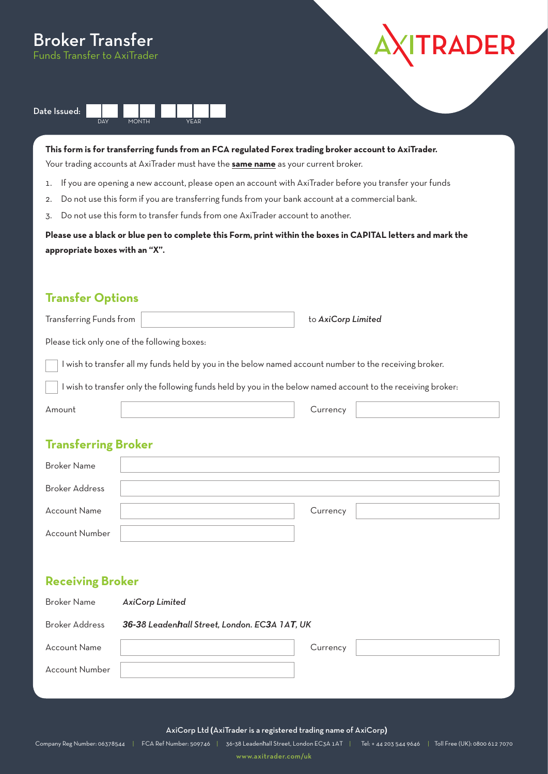# Broker Transfer

Funds Transfer to AxiTrader





**This form is for transferring funds from an FCA regulated Forex trading broker account to AxiTrader.** 

Your trading accounts at AxiTrader must have the **same name** as your current broker.

- 1. If you are opening a new account, please open an account with AxiTrader before you transfer your funds
- 2. Do not use this form if you are transferring funds from your bank account at a commercial bank.
- 3. Do not use this form to transfer funds from one AxiTrader account to another.

**Please use a black or blue pen to complete this Form, print within the boxes in CAPITAL letters and mark the appropriate boxes with an "X".**

## **Transfer Options**

| Transferring Funds from                                                                                   | to AxiCorp Limited |  |  |  |  |
|-----------------------------------------------------------------------------------------------------------|--------------------|--|--|--|--|
| Please tick only one of the following boxes:                                                              |                    |  |  |  |  |
| wish to transfer all my funds held by you in the below named account number to the receiving broker.      |                    |  |  |  |  |
| wish to transfer only the following funds held by you in the below named account to the receiving broker: |                    |  |  |  |  |
| Amount                                                                                                    | Currency           |  |  |  |  |
|                                                                                                           |                    |  |  |  |  |

# **Transferring Broker**

| <b>Broker Name</b>    |          |  |
|-----------------------|----------|--|
| <b>Broker Address</b> |          |  |
| <b>Account Name</b>   | Currency |  |
| Account Number        |          |  |

#### **Receiving Broker**

| Broker Name           | <b>AxiCorp Limited</b>                        |          |  |  |
|-----------------------|-----------------------------------------------|----------|--|--|
| Broker Address        | 36-38 Leadenhall Street, London. EC3A 1AT, UK |          |  |  |
| <b>Account Name</b>   |                                               | Currency |  |  |
| <b>Account Number</b> |                                               |          |  |  |

AxiCorp Ltd **(**AxiTrader is a registered trading name of AxiCorp**)**